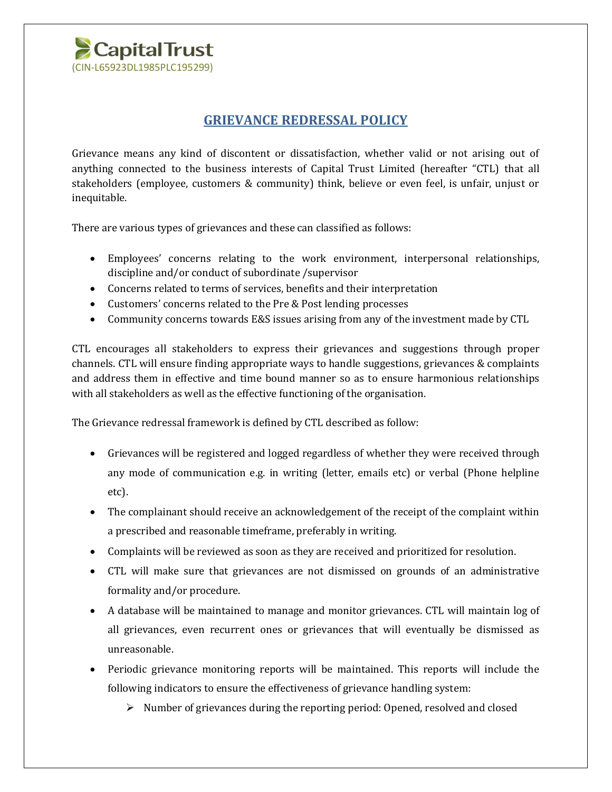

## **GRIEVANCE REDRESSAL POLICY**

Grievance means any kind of discontent or dissatisfaction, whether valid or not arising out of anything connected to the business interests of Capital Trust Limited (hereafter "CTL) that all stakeholders (employee, customers & community) think, believe or even feel, is unfair, unjust or inequitable.

There are various types of grievances and these can classified as follows:

- Employees' concerns relating to the work environment, interpersonal relationships, discipline and/or conduct of subordinate /supervisor
- Concerns related to terms of services, benefits and their interpretation
- Customers' concerns related to the Pre & Post lending processes
- Community concerns towards E&S issues arising from any of the investment made by CTL

CTL encourages all stakeholders to express their grievances and suggestions through proper channels. CTL will ensure finding appropriate ways to handle suggestions, grievances & complaints and address them in effective and time bound manner so as to ensure harmonious relationships with all stakeholders as well as the effective functioning of the organisation.

The Grievance redressal framework is defined by CTL described as follow:

- Grievances will be registered and logged regardless of whether they were received through any mode of communication e.g. in writing (letter, emails etc) or verbal (Phone helpline etc).
- The complainant should receive an acknowledgement of the receipt of the complaint within a prescribed and reasonable timeframe, preferably in writing.
- Complaints will be reviewed as soon as they are received and prioritized for resolution.
- CTL will make sure that grievances are not dismissed on grounds of an administrative formality and/or procedure.
- A database will be maintained to manage and monitor grievances. CTL will maintain log of all grievances, even recurrent ones or grievances that will eventually be dismissed as unreasonable.
- Periodic grievance monitoring reports will be maintained. This reports will include the following indicators to ensure the effectiveness of grievance handling system:
	- $\triangleright$  Number of grievances during the reporting period: Opened, resolved and closed